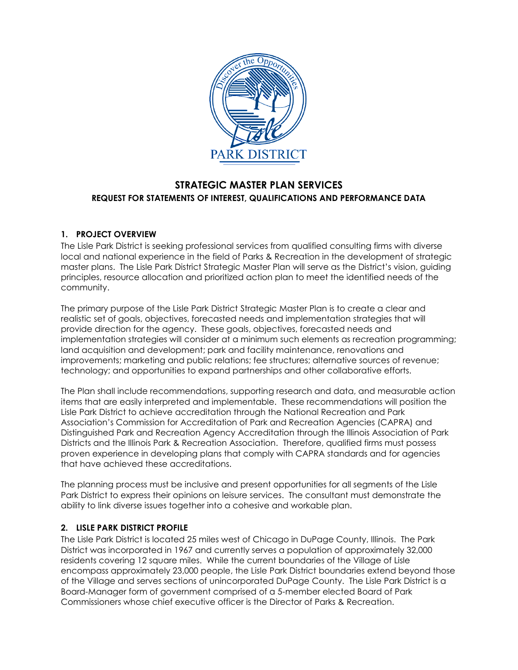

# **STRATEGIC MASTER PLAN SERVICES REQUEST FOR STATEMENTS OF INTEREST, QUALIFICATIONS AND PERFORMANCE DATA**

## **1. PROJECT OVERVIEW**

The Lisle Park District is seeking professional services from qualified consulting firms with diverse local and national experience in the field of Parks & Recreation in the development of strategic master plans. The Lisle Park District Strategic Master Plan will serve as the District's vision, guiding principles, resource allocation and prioritized action plan to meet the identified needs of the community.

The primary purpose of the Lisle Park District Strategic Master Plan is to create a clear and realistic set of goals, objectives, forecasted needs and implementation strategies that will provide direction for the agency. These goals, objectives, forecasted needs and implementation strategies will consider at a minimum such elements as recreation programming; land acquisition and development; park and facility maintenance, renovations and improvements; marketing and public relations; fee structures; alternative sources of revenue; technology; and opportunities to expand partnerships and other collaborative efforts.

The Plan shall include recommendations, supporting research and data, and measurable action items that are easily interpreted and implementable. These recommendations will position the Lisle Park District to achieve accreditation through the National Recreation and Park Association's Commission for Accreditation of Park and Recreation Agencies (CAPRA) and Distinguished Park and Recreation Agency Accreditation through the Illinois Association of Park Districts and the Illinois Park & Recreation Association. Therefore, qualified firms must possess proven experience in developing plans that comply with CAPRA standards and for agencies that have achieved these accreditations.

The planning process must be inclusive and present opportunities for all segments of the Lisle Park District to express their opinions on leisure services. The consultant must demonstrate the ability to link diverse issues together into a cohesive and workable plan.

### **2. LISLE PARK DISTRICT PROFILE**

The Lisle Park District is located 25 miles west of Chicago in DuPage County, Illinois. The Park District was incorporated in 1967 and currently serves a population of approximately 32,000 residents covering 12 square miles. While the current boundaries of the Village of Lisle encompass approximately 23,000 people, the Lisle Park District boundaries extend beyond those of the Village and serves sections of unincorporated DuPage County. The Lisle Park District is a Board-Manager form of government comprised of a 5-member elected Board of Park Commissioners whose chief executive officer is the Director of Parks & Recreation.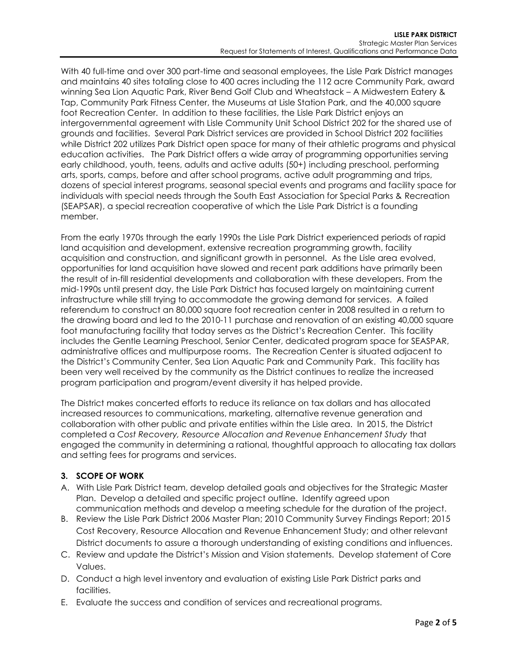With 40 full-time and over 300 part-time and seasonal employees, the Lisle Park District manages and maintains 40 sites totaling close to 400 acres including the 112 acre Community Park, award winning Sea Lion Aquatic Park, River Bend Golf Club and Wheatstack – A Midwestern Eatery & Tap, Community Park Fitness Center, the Museums at Lisle Station Park, and the 40,000 square foot Recreation Center. In addition to these facilities, the Lisle Park District enjoys an intergovernmental agreement with Lisle Community Unit School District 202 for the shared use of grounds and facilities. Several Park District services are provided in School District 202 facilities while District 202 utilizes Park District open space for many of their athletic programs and physical education activities. The Park District offers a wide array of programming opportunities serving early childhood, youth, teens, adults and active adults (50+) including preschool, performing arts, sports, camps, before and after school programs, active adult programming and trips, dozens of special interest programs, seasonal special events and programs and facility space for individuals with special needs through the South East Association for Special Parks & Recreation (SEAPSAR), a special recreation cooperative of which the Lisle Park District is a founding member.

From the early 1970s through the early 1990s the Lisle Park District experienced periods of rapid land acquisition and development, extensive recreation programming growth, facility acquisition and construction, and significant growth in personnel. As the Lisle area evolved, opportunities for land acquisition have slowed and recent park additions have primarily been the result of in-fill residential developments and collaboration with these developers. From the mid-1990s until present day, the Lisle Park District has focused largely on maintaining current infrastructure while still trying to accommodate the growing demand for services. A failed referendum to construct an 80,000 square foot recreation center in 2008 resulted in a return to the drawing board and led to the 2010-11 purchase and renovation of an existing 40,000 square foot manufacturing facility that today serves as the District's Recreation Center. This facility includes the Gentle Learning Preschool, Senior Center, dedicated program space for SEASPAR, administrative offices and multipurpose rooms. The Recreation Center is situated adjacent to the District's Community Center, Sea Lion Aquatic Park and Community Park. This facility has been very well received by the community as the District continues to realize the increased program participation and program/event diversity it has helped provide.

The District makes concerted efforts to reduce its reliance on tax dollars and has allocated increased resources to communications, marketing, alternative revenue generation and collaboration with other public and private entities within the Lisle area. In 2015, the District completed a *Cost Recovery, Resource Allocation and Revenue Enhancement Study* that engaged the community in determining a rational, thoughtful approach to allocating tax dollars and setting fees for programs and services.

### **3. SCOPE OF WORK**

- A. With Lisle Park District team, develop detailed goals and objectives for the Strategic Master Plan. Develop a detailed and specific project outline. Identify agreed upon communication methods and develop a meeting schedule for the duration of the project.
- B. Review the Lisle Park District 2006 Master Plan; 2010 Community Survey Findings Report; 2015 Cost Recovery, Resource Allocation and Revenue Enhancement Study; and other relevant District documents to assure a thorough understanding of existing conditions and influences.
- C. Review and update the District's Mission and Vision statements. Develop statement of Core Values.
- D. Conduct a high level inventory and evaluation of existing Lisle Park District parks and facilities.
- E. Evaluate the success and condition of services and recreational programs.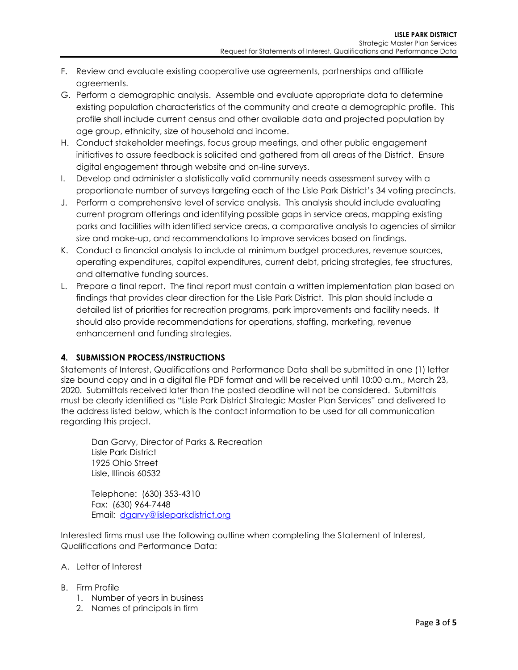- F. Review and evaluate existing cooperative use agreements, partnerships and affiliate agreements.
- G. Perform a demographic analysis. Assemble and evaluate appropriate data to determine existing population characteristics of the community and create a demographic profile. This profile shall include current census and other available data and projected population by age group, ethnicity, size of household and income.
- H. Conduct stakeholder meetings, focus group meetings, and other public engagement initiatives to assure feedback is solicited and gathered from all areas of the District. Ensure digital engagement through website and on-line surveys.
- I. Develop and administer a statistically valid community needs assessment survey with a proportionate number of surveys targeting each of the Lisle Park District's 34 voting precincts.
- J. Perform a comprehensive level of service analysis. This analysis should include evaluating current program offerings and identifying possible gaps in service areas, mapping existing parks and facilities with identified service areas, a comparative analysis to agencies of similar size and make-up, and recommendations to improve services based on findings.
- K. Conduct a financial analysis to include at minimum budget procedures, revenue sources, operating expenditures, capital expenditures, current debt, pricing strategies, fee structures, and alternative funding sources.
- L. Prepare a final report. The final report must contain a written implementation plan based on findings that provides clear direction for the Lisle Park District. This plan should include a detailed list of priorities for recreation programs, park improvements and facility needs. It should also provide recommendations for operations, staffing, marketing, revenue enhancement and funding strategies.

#### **4. SUBMISSION PROCESS/INSTRUCTIONS**

Statements of Interest, Qualifications and Performance Data shall be submitted in one (1) letter size bound copy and in a digital file PDF format and will be received until 10:00 a.m., March 23, 2020. Submittals received later than the posted deadline will not be considered. Submittals must be clearly identified as "Lisle Park District Strategic Master Plan Services" and delivered to the address listed below, which is the contact information to be used for all communication regarding this project.

Dan Garvy, Director of Parks & Recreation Lisle Park District 1925 Ohio Street Lisle, Illinois 60532

Telephone: (630) 353-4310 Fax: (630) 964-7448 Email: [dgarvy@lisleparkdistrict.org](mailto:dgarvy@lisleparkdistrict.org)

Interested firms must use the following outline when completing the Statement of Interest, Qualifications and Performance Data:

- A. Letter of Interest
- B. Firm Profile
	- 1. Number of years in business
	- 2. Names of principals in firm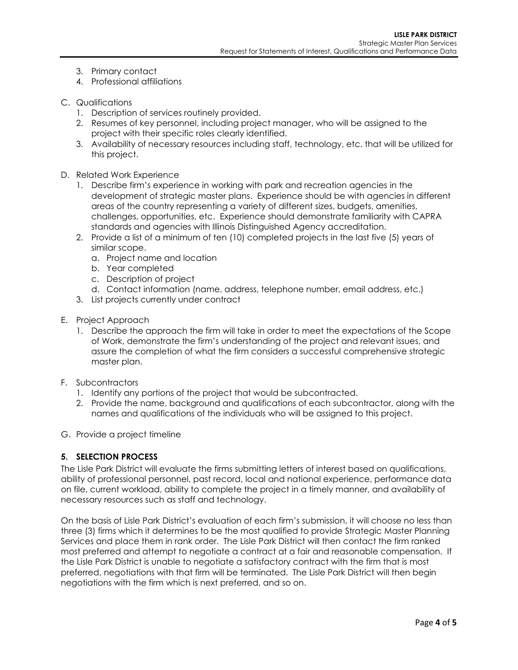- 3. Primary contact
- 4. Professional affiliations
- C. Qualifications
	- 1. Description of services routinely provided.
	- 2. Resumes of key personnel, including project manager, who will be assigned to the project with their specific roles clearly identified.
	- 3. Availability of necessary resources including staff, technology, etc. that will be utilized for this project.
- D. Related Work Experience
	- 1. Describe firm's experience in working with park and recreation agencies in the development of strategic master plans. Experience should be with agencies in different areas of the country representing a variety of different sizes, budgets, amenities, challenges, opportunities, etc. Experience should demonstrate familiarity with CAPRA standards and agencies with Illinois Distinguished Agency accreditation.
	- 2. Provide a list of a minimum of ten (10) completed projects in the last five (5) years of similar scope.
		- a. Project name and location
		- b. Year completed
		- c. Description of project
		- d. Contact information (name, address, telephone number, email address, etc.)
	- 3. List projects currently under contract
- E. Project Approach
	- 1. Describe the approach the firm will take in order to meet the expectations of the Scope of Work, demonstrate the firm's understanding of the project and relevant issues, and assure the completion of what the firm considers a successful comprehensive strategic master plan.
- F. Subcontractors
	- 1. Identify any portions of the project that would be subcontracted.
	- 2. Provide the name, background and qualifications of each subcontractor, along with the names and qualifications of the individuals who will be assigned to this project.
- G. Provide a project timeline

#### **5. SELECTION PROCESS**

The Lisle Park District will evaluate the firms submitting letters of interest based on qualifications, ability of professional personnel, past record, local and national experience, performance data on file, current workload, ability to complete the project in a timely manner, and availability of necessary resources such as staff and technology.

On the basis of Lisle Park District's evaluation of each firm's submission, it will choose no less than three (3) firms which it determines to be the most qualified to provide Strategic Master Planning Services and place them in rank order. The Lisle Park District will then contact the firm ranked most preferred and attempt to negotiate a contract at a fair and reasonable compensation. If the Lisle Park District is unable to negotiate a satisfactory contract with the firm that is most preferred, negotiations with that firm will be terminated. The Lisle Park District will then begin negotiations with the firm which is next preferred, and so on.